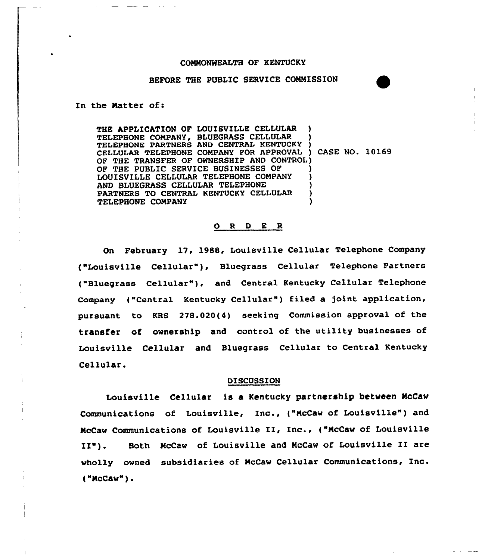# CONNONWEALTH OF KENTUCKY

## BEFORE THE PUBLIC SERVICE COMMISSION

In the Natter of:

THE APPLICATION OF LOUISVILLE CELLULAR TELEPHONE COMPANY, BLUEGRASS CELLULAR TELEPHONE PARTNERS AND CENTRAL KENTUCKY ) CELLULAR TELEPHONE COMPANY FOR APPROVAL ) CASE NO. 10169 OF THE TRANSFER OF OWNERSHIP AND CONTROL) OF THE PUBLIC SERVICE BUSINESSES OF LOUISVILLE CELLULAR TELEPHONE COMPANY AND BLUEGRASS CELLULAR TELEPHONE PARTNERS TO CENTRAL KENTUCKY CELLULAR TELEPHONE COMPANY

#### 0 <sup>R</sup> <sup>D</sup> E <sup>R</sup>

On February 17, 1988, Louisville Cellular Telephone Company ("Louisville Cellular" ), Bluegrass Cellular Telephone Partners ("Bluegrass Cellular" ), and Central Kentucky Cellular Telephone Company ("Centra1 Kentucky Ce11ular") filed a )oint application, pursuant to KRS 278.020(4) seeking Commission approval of the transfer of ownership and control of the utility businesses of Louisville Cellular and Bluegrass Cellular to Central Kentucky Cellular.

#### DISCUSSION

Louisville Cellular is a Kentucky partnership between NcCaw Communications of Louisville, Inc., ("McCaw of Louisville") and NcCaw Communications of Louisville II, Inc., ("NcCaw of Louisville II"). Both NcCaw of Louisville and NcCaw of Louisville II are wholly owned subsidiaries of McCaw Cellular Communications, Inc. ("NCCaw") <sup>~</sup>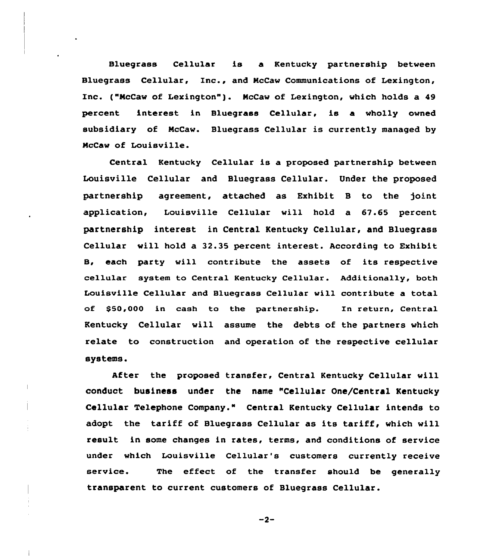Bluegrass Cellular is a Kentucky partnership between Bluegrass Cellular, Inc., and NcCaw Communications of Lexington, Inc. ("NcCaw of Lexington" ). NcCaw of Lexington, which holds <sup>a</sup> <sup>49</sup> percent interest in Bluegrass Cellular, is a wholly owned subsidiary of NcCaw. Bluegrass Cellular is currently managed by McCaw of Louisville.

Central Kentucky Cellular is a proposed partnership between Louisville Cellular and Bluegrass Cellular. Under the proposed partnership agreement, attached as Exhibit B to the )oint application, Louisville Cellular will hold a 67.65 percent partnership interest in Central Kentucky Cellular, and Bluegrass Cellular will hold a 32.35 percent interest. According to Exhibit, B, each party will contribute the assets of its respective cellular system to Central Kentucky Cellular. Additionally, both Louisville Cellular and Bluegrass Cellular will contribute a total of \$50,000 in cash to the partnership. In return, Central Kentucky Cellular will assume the debts of the partners which relate to construction and operation of the respective cellular systems.

After the proposed transfer, Central Kentucky Cellular will conduct business under the name Cellular One/Central Kentucky Cellular Telephone Company." Central Kentucky Cellular intends to adopt the tariff of Bluegrass Cellular as its tariff, which will result in some changes in rates, terms, and conditions of service under which Louisville Cellular's customers currently receive service. The effect of the transfer should be generally transparent to current customers of Bluegrass Cellular.

 $-2-$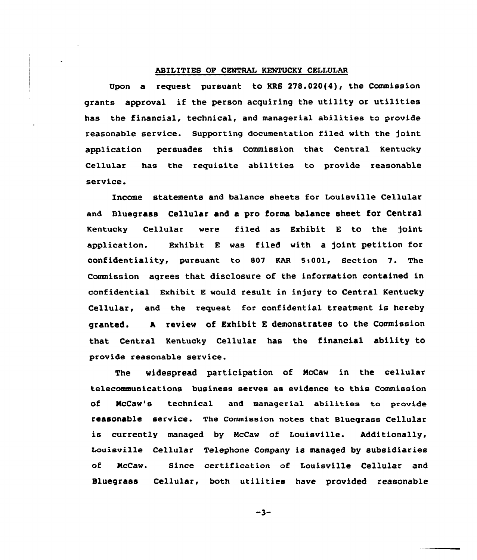### ABILITIES OP CENTRAL KENTUCKY CELLULAR

Upon a request pursuant to KRS 278.020(4), the Commission grants approval if the person acquiring the utility or utilities has the financial, technical, and managerial abilities to provide reasonable service. Supporting documentation filed with the )oint application persuades this Commission that Central Kentucky Cellular has the requisite abilities to provide reasonable service.

Income statements and balance sheets for Louisville Cellular and Bluegrass Cellular and a pro forms balance sheet for Central Kentucky Cellular were filed as Exhibit <sup>E</sup> to the )oint application. Exhibit E was filed with a joint petition for confidentiality, pursuant to <sup>807</sup> KAR 5:001, Section 7. The Commission agrees that disclosure of the information contained in confidential Exhibit E would result in injury to Central Kentucky Cellular, and the request for confidential treatment is hereby granted. <sup>A</sup> review of Exhibit <sup>E</sup> demonstrates to the Commission that Central Kentucky Cellular has the financial ability to provide reasonable service.

The widespread participation of McCaw in the cellular telecommunications business serves as evidence to this Commission of NcCaw's technical and managerial abilities to provide reasonable service. The Commission notes that Bluegrass Cellular is currently managed by NeCaw of Louisville. Additionally, Louisville Cellular Telephone Company is managed by subsidiaries of NcCaw. Since certification of Louisville Cellular and Bluegrass Cellular, both utilities have provided reasonable

 $-3-$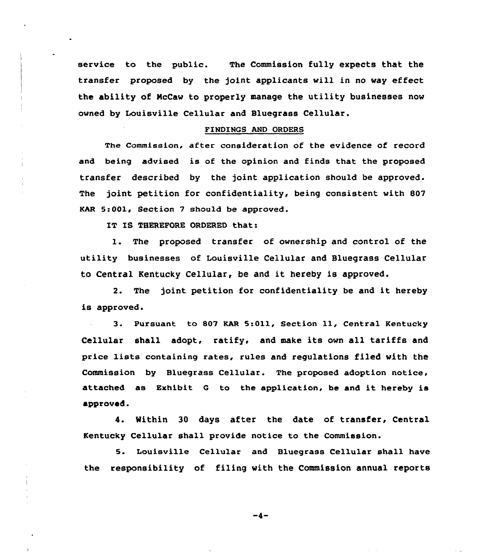service to the public. The Commission fully expects that the transfer proposed by the joint applicants will in no way effect the ability of NcCaw to properly manage the utility businesses now owned by Louisville Cellular and Bluegrass Cellular.

#### FINDINGS AND ORDERS

The commission, after consideration of the evidence of record and being advised is of the opinion and finds that the proposed transfer described by the joint application should be approved. The joint petition for confidentiality, being consistent with 807 KAR 5:001, Section 7 should be approved.

IT IS THEREPORE ORDERED that:

1. The proposed transfer of ownership and control of the utility businesses of Louisville Cellular and Bluegrass Cellular to Central Kentucky Cellular, be and it hereby is approved.

2. The joint petition for confidentiality be and it hereby is approved.

3. Pursuant to <sup>807</sup> KAR 5:011, Section ll, Central Kentucky Cellular shall adopt, ratify, and make its own all tariffs and price 1ists containing rates, rules and regulations filed with the Commission by Bluegrass Cellular. The proposed adoption notice, attached as Exhibit <sup>G</sup> to the application, be and it hereby is approved.

4. Within 30 days after the date of transfer, Central Kentucky Cellular shall provide notice to the Commission.

5. Louisville Cellular and Bluegrass Cellular shall have the responsibility af filing with the Commission annual reports

 $-4-$